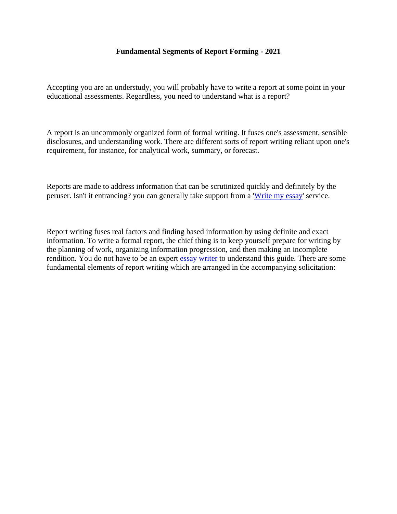#### **Fundamental Segments of Report Forming - 2021**

Accepting you are an understudy, you will probably have to write a report at some point in your educational assessments. Regardless, you need to understand what is a report?

A report is an uncommonly organized form of formal writing. It fuses one's assessment, sensible disclosures, and understanding work. There are different sorts of report writing reliant upon one's requirement, for instance, for analytical work, summary, or forecast.

Reports are made to address information that can be scrutinized quickly and definitely by the peruser. Isn't it entrancing? you can generally take support from a ['Write my essay'](https://www.myperfectwords.com/) service.

Report writing fuses real factors and finding based information by using definite and exact information. To write a formal report, the chief thing is to keep yourself prepare for writing by the planning of work, organizing information progression, and then making an incomplete rendition. You do not have to be an expert [essay writer](https://www.collegeessay.org/) to understand this guide. There are some fundamental elements of report writing which are arranged in the accompanying solicitation: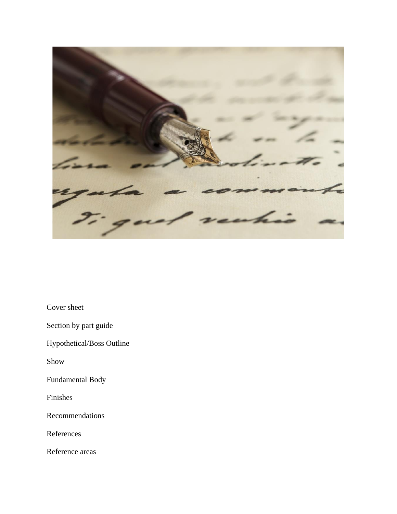

Cover sheet

Section by part guide

Hypothetical/Boss Outline

Show

Fundamental Body

Finishes

Recommendations

References

Reference areas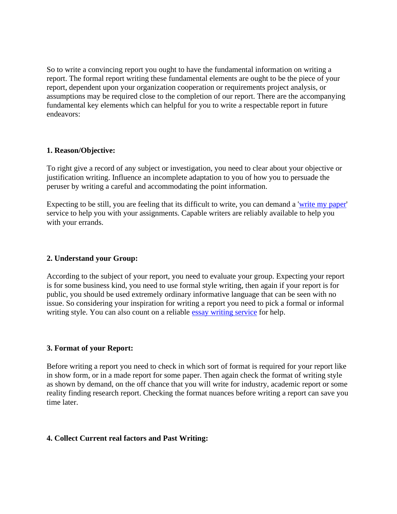So to write a convincing report you ought to have the fundamental information on writing a report. The formal report writing these fundamental elements are ought to be the piece of your report, dependent upon your organization cooperation or requirements project analysis, or assumptions may be required close to the completion of our report. There are the accompanying fundamental key elements which can helpful for you to write a respectable report in future endeavors:

### **1. Reason/Objective:**

To right give a record of any subject or investigation, you need to clear about your objective or justification writing. Influence an incomplete adaptation to you of how you to persuade the peruser by writing a careful and accommodating the point information.

Expecting to be still, you are feeling that its difficult to write, you can demand a ['write my paper'](https://www.5staressays.com/) service to help you with your assignments. Capable writers are reliably available to help you with your errands.

### **2. Understand your Group:**

According to the subject of your report, you need to evaluate your group. Expecting your report is for some business kind, you need to use formal style writing, then again if your report is for public, you should be used extremely ordinary informative language that can be seen with no issue. So considering your inspiration for writing a report you need to pick a formal or informal writing style. You can also count on a reliable [essay writing service](https://www.myperfectpaper.net/) for help.

### **3. Format of your Report:**

Before writing a report you need to check in which sort of format is required for your report like in show form, or in a made report for some paper. Then again check the format of writing style as shown by demand, on the off chance that you will write for industry, academic report or some reality finding research report. Checking the format nuances before writing a report can save you time later.

### **4. Collect Current real factors and Past Writing:**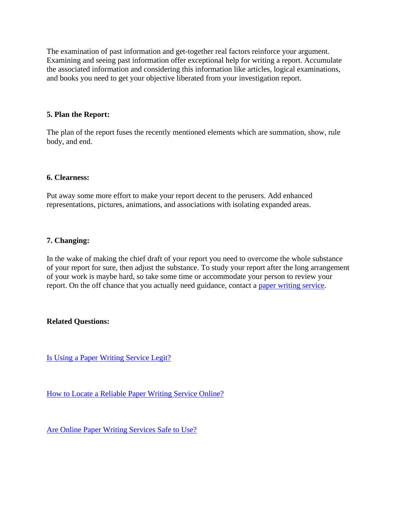The examination of past information and get-together real factors reinforce your argument. Examining and seeing past information offer exceptional help for writing a report. Accumulate the associated information and considering this information like articles, logical examinations, and books you need to get your objective liberated from your investigation report.

# **5. Plan the Report:**

The plan of the report fuses the recently mentioned elements which are summation, show, rule body, and end.

### **6. Clearness:**

Put away some more effort to make your report decent to the perusers. Add enhanced representations, pictures, animations, and associations with isolating expanded areas.

## **7. Changing:**

In the wake of making the chief draft of your report you need to overcome the whole substance of your report for sure, then adjust the substance. To study your report after the long arrangement of your work is maybe hard, so take some time or accommodate your person to review your report. On the off chance that you actually need guidance, contact a [paper writing service.](https://www.freeessaywriter.net/)

### **Related Questions:**

[Is Using a Paper Writing Service Legit?](https://www.myperfectpaper.net/paper-writing-service/is-using-a-paper-writing-service-legit)

[How to Locate a Reliable Paper Writing Service Online?](https://www.myperfectpaper.net/paper-writing-service/how-to-locate-a-reliable-paper-writing-service-online)

[Are Online Paper Writing Services Safe to Use?](https://www.myperfectpaper.net/paper-writing-service/are-online-paper-writing-services-safe-to-use)